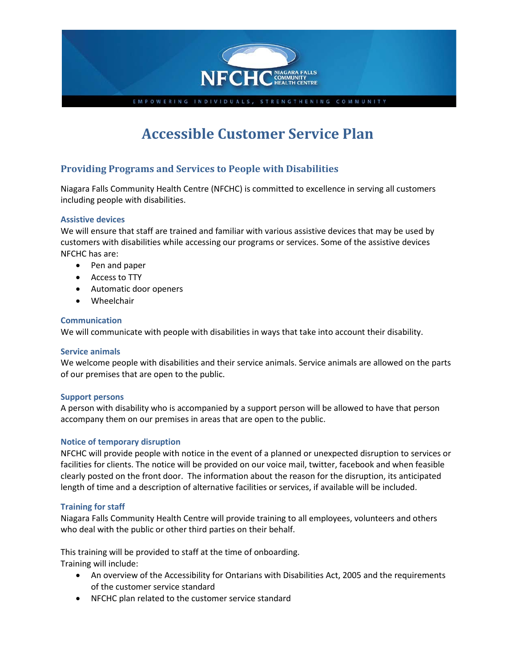

# **Accessible Customer Service Plan**

# **Providing Programs and Services to People with Disabilities**

Niagara Falls Community Health Centre (NFCHC) is committed to excellence in serving all customers including people with disabilities.

### **Assistive devices**

We will ensure that staff are trained and familiar with various assistive devices that may be used by customers with disabilities while accessing our programs or services. Some of the assistive devices NFCHC has are:

- Pen and paper
- Access to TTY
- Automatic door openers
- Wheelchair

#### **Communication**

We will communicate with people with disabilities in ways that take into account their disability.

#### **Service animals**

We welcome people with disabilities and their service animals. Service animals are allowed on the parts of our premises that are open to the public.

#### **Support persons**

A person with disability who is accompanied by a support person will be allowed to have that person accompany them on our premises in areas that are open to the public.

#### **Notice of temporary disruption**

NFCHC will provide people with notice in the event of a planned or unexpected disruption to services or facilities for clients. The notice will be provided on our voice mail, twitter, facebook and when feasible clearly posted on the front door. The information about the reason for the disruption, its anticipated length of time and a description of alternative facilities or services, if available will be included.

#### **Training for staff**

Niagara Falls Community Health Centre will provide training to all employees, volunteers and others who deal with the public or other third parties on their behalf.

This training will be provided to staff at the time of onboarding. Training will include:

- An overview of the Accessibility for Ontarians with Disabilities Act, 2005 and the requirements of the customer service standard
- NFCHC plan related to the customer service standard